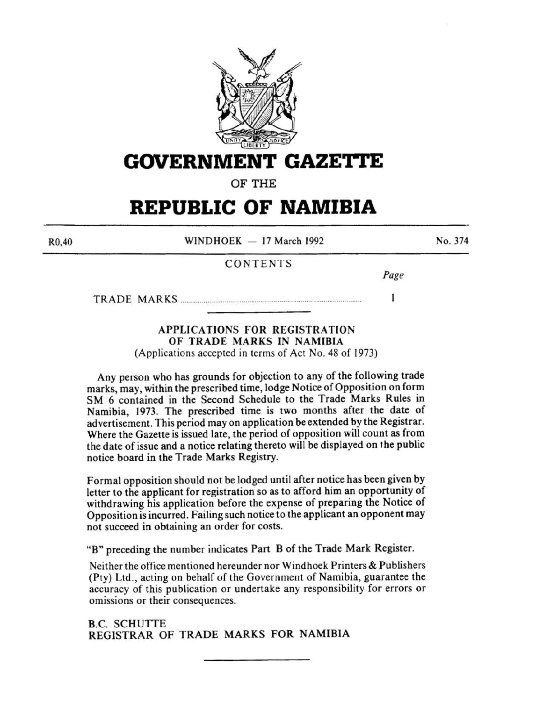

# **GOVERNMENT GAZETTE**

OF THE

# **REPUBLIC OF NAMIBIA**

R0,40

 $WINDHOEK - 17 March 1992$ 

No. 374

## CONTENTS

*Page* 

 $\mathbf{1}$ 

TRADE MARKS .............................................................................................. .

## APPLICATIONS FOR REGISTRATION OF TRADE MARKS IN NAMIBIA

{Applications accepted in terms of Act No. 48 of 1973)

Any person who has grounds for objection to any of the following trade marks, may, within the prescribed time, lodge Notice of Opposition on form SM 6 contained in the Second Schedule to the Trade Marks Rules in Namibia, 1973. The prescribed time is two months after the date of advertisement. This period may on application be extended by the Registrar. Where the Gazette is issued late, the period of opposition will count as from the date of issue and a notice relating thereto will be displayed on the public notice board in the Trade Marks Registry.

Formal opposition should not be lodged until after notice has been given by letter to the applicant for registration so as to afford him an opportunity of withdrawing his application before the expense of preparing the Notice of Opposition is incurred. Failing such notice to the applicant an opponent may not succeed in obtaining an order for costs.

"B" preceding the number indicates Part B of the Trade Mark Register.

Neither the office mentioned hereunder nor Windhoek Printers & Publishers (Pty) Ltd., acting on behalf of the Government of Namibia, guarantee the accuracy of this publication or undertake any responsibility for errors or omissions or their consequences.

**B.C. SCHUTTE** REGISTRAR OF TRADE MARKS FOR NAMIBIA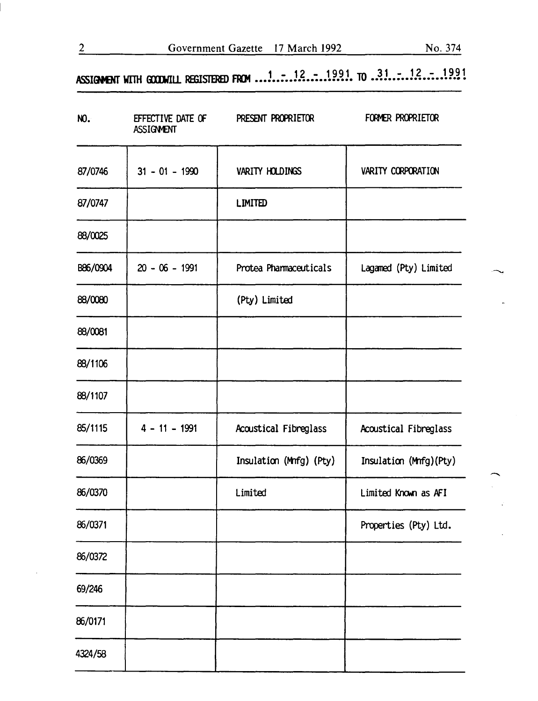# **ASSIGMENT WITH GOODWILL REGISTERED FROM ...1.....12....1991. TO ..3.1.....12.....1991**

| NO.      | EFFECTIVE DATE OF<br><b>ASSIGNMENT</b> | PRESENT PROPRIETOR      | FORMER PROPRIETOR      |
|----------|----------------------------------------|-------------------------|------------------------|
| 87/0746  | $31 - 01 - 1990$                       | VARITY HOLDINGS         | VARITY CORPORATION     |
| 87/0747  |                                        | <b>LIMITED</b>          |                        |
| 88/0025  |                                        |                         |                        |
| B86/0904 | $20 - 06 - 1991$                       | Protea Pharmaceuticals  | Lagamed (Pty) Limited  |
| 88/0080  |                                        | (Pty) Limited           |                        |
| 88/0081  |                                        |                         |                        |
| 88/1106  |                                        |                         |                        |
| 88/1107  |                                        |                         |                        |
| 85/1115  | $4 - 11 - 1991$                        | Acoustical Fibreglass   | Acoustical Fibreglass  |
| 86/0369  |                                        | Insulation (Mnfg) (Pty) | Insulation (Mnfg)(Pty) |
| 86/0370  |                                        | Limited                 | Limited Known as AFI   |
| 86/0371  |                                        |                         | Properties (Pty) Ltd.  |
| 86/0372  |                                        |                         |                        |
| 69/246   |                                        |                         |                        |
| 86/0171  |                                        |                         |                        |
| 4324/58  |                                        |                         |                        |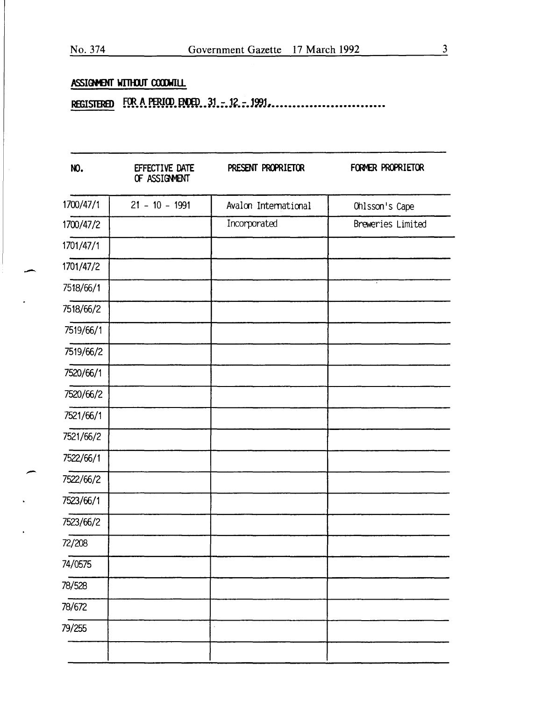## ASSIGNMENT WITHOUT COODWILL

| NO.       | EFFECTIVE DATE<br>OF ASSIGNMENT | PRESENT PROPRIETOR   | FORMER PROPRIETOR |
|-----------|---------------------------------|----------------------|-------------------|
| 1700/47/1 | $21 - 10 - 1991$                | Avalon International | Ohlsson's Cape    |
| 1700/47/2 |                                 | Incorporated         | Breweries Limited |
| 1701/47/1 |                                 |                      |                   |
| 1701/47/2 |                                 |                      |                   |
| 7518/66/1 |                                 |                      |                   |
| 7518/66/2 |                                 |                      |                   |
| 7519/66/1 |                                 |                      |                   |
| 7519/66/2 |                                 |                      |                   |
| 7520/66/1 |                                 |                      |                   |
| 7520/66/2 |                                 |                      |                   |
| 7521/66/1 |                                 |                      |                   |
| 7521/66/2 |                                 |                      |                   |
| 7522/66/1 |                                 |                      |                   |
| 7522/66/2 |                                 |                      |                   |
| 7523/66/1 |                                 |                      |                   |
| 7523/66/2 |                                 |                      |                   |
| 72/208    |                                 |                      |                   |
| 74/0575   |                                 |                      |                   |
| 78/528    |                                 |                      |                   |
| 78/672    |                                 |                      |                   |
| 79/255    |                                 |                      |                   |
|           |                                 |                      |                   |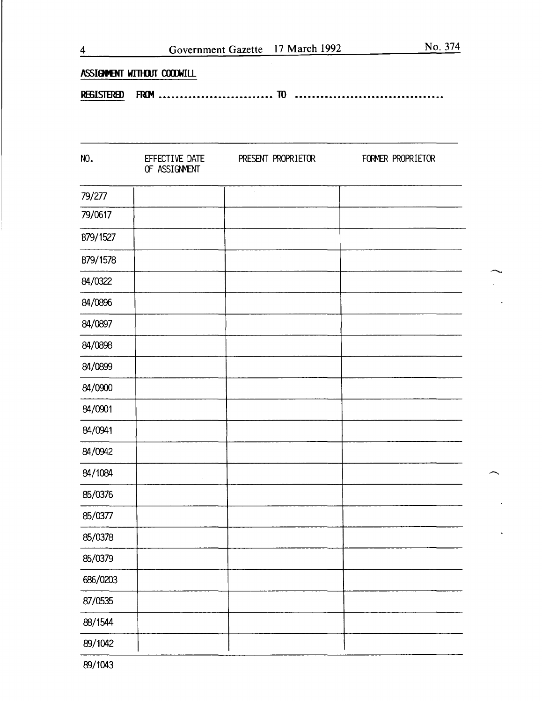| <b>REGISTERED</b> |                                 |                    | --------------------------- |
|-------------------|---------------------------------|--------------------|-----------------------------|
| NO.               | EFFECTIVE DATE<br>OF ASSIGNMENT | PRESENT PROPRIETOR | FORMER PROPRIETOR           |
| 79/277            |                                 |                    |                             |
| 79/0617           |                                 |                    |                             |
| B79/1527          | $\alpha$                        |                    |                             |
| B79/1578          |                                 | $\sim$             |                             |
| 84/0322           |                                 |                    |                             |
| 84/0896           |                                 |                    |                             |
| 84/0897           |                                 |                    |                             |
| 84/0898           |                                 |                    |                             |
| 84/0899           |                                 |                    |                             |
| 84/0900           |                                 |                    |                             |
| 84/0901           |                                 |                    |                             |
| 84/0941           |                                 |                    |                             |
| 84/0942           |                                 |                    |                             |
| 84/1084           |                                 |                    |                             |
| 85/0376           |                                 |                    |                             |
| 85/0377           |                                 |                    |                             |
| 85/0378           |                                 |                    |                             |
| 85/0379           |                                 |                    |                             |
| 686/0203          |                                 |                    |                             |
| 87/0535           |                                 |                    |                             |
| 88/1544           |                                 |                    |                             |
| 89/1042           |                                 |                    |                             |

4 Government Gazette 17 March 1992

No. 374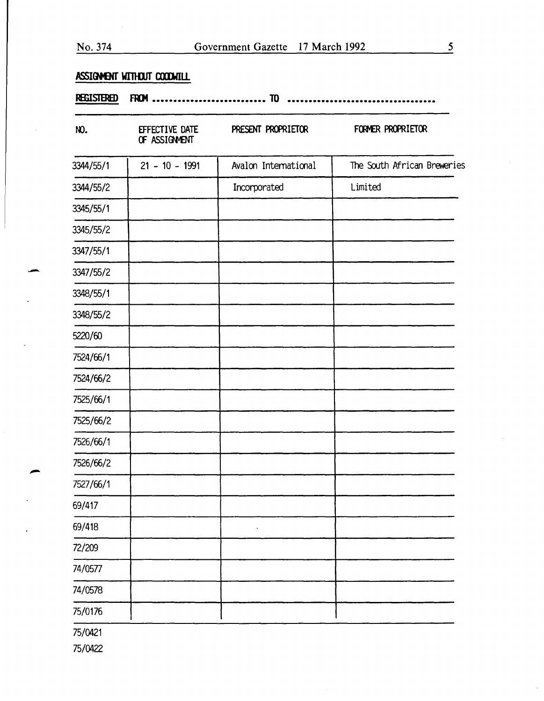# ASSIGNENT WITHOUT COODWILL

| NO.       | EFFECTIVE DATE<br>OF ASSIGNMENT | PRESENT PROPRIETOR   | FORMER PROPRIETOR           |
|-----------|---------------------------------|----------------------|-----------------------------|
| 3344/55/1 | $21 - 10 - 1991$                | Avalon International | The South African Breweries |
| 3344/55/2 |                                 | Incorporated         | Limited                     |
| 3345/55/1 |                                 |                      |                             |
| 3345/55/2 |                                 |                      |                             |
| 3347/55/1 |                                 |                      |                             |
| 3347/55/2 |                                 |                      |                             |
| 3348/55/1 |                                 |                      |                             |
| 3348/55/2 |                                 |                      |                             |
| 5220/60   |                                 |                      |                             |
| 7524/66/1 |                                 |                      |                             |
| 7524/66/2 |                                 |                      |                             |
| 7525/66/1 |                                 |                      |                             |
| 7525/66/2 |                                 |                      |                             |
| 7526/66/1 |                                 |                      |                             |
| 7526/66/2 |                                 |                      |                             |
| 7527/66/1 |                                 |                      |                             |
| 69/417    |                                 |                      |                             |
| 69/418    |                                 |                      |                             |
| 72/209    |                                 |                      |                             |
| 74/0577   |                                 |                      |                             |
| 74/0578   |                                 |                      |                             |
| 75/0176   |                                 |                      |                             |
| 75/0421   |                                 |                      |                             |

75/0422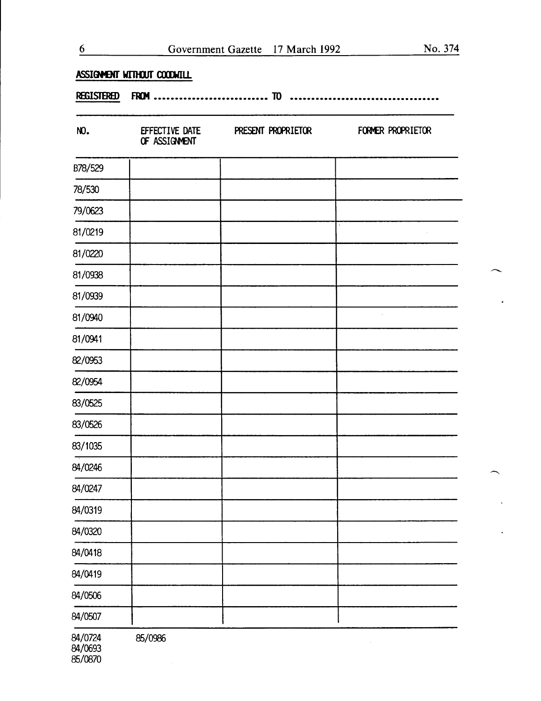$\overline{\phantom{0}}$ 

 $\mathbf{A}$ 

# ASSIGMENT WITHOUT COODWILL

#### REGISTERED FROM ••••••••••••••••••••••••••• 1D

| NO.     | EFFECTIVE DATE<br>OF ASSIGNENT | PRESENT PROPRIETOR | FORMER PROPRIETOR        |
|---------|--------------------------------|--------------------|--------------------------|
| B78/529 |                                |                    |                          |
| 78/530  |                                |                    |                          |
| 79/0623 |                                |                    |                          |
| 81/0219 |                                |                    | $\overline{\phantom{a}}$ |
| 81/0220 |                                |                    |                          |
| 81/0938 |                                |                    |                          |
| 81/0939 |                                |                    |                          |
| 81/0940 |                                |                    | $\bar{z}$                |
| 81/0941 |                                |                    |                          |
| 82/0953 |                                |                    |                          |
| 82/0954 |                                |                    |                          |
| 83/0525 |                                |                    |                          |
| 83/0526 |                                |                    |                          |
| 83/1035 |                                |                    |                          |
| 84/0246 |                                |                    |                          |
| 84/0247 |                                |                    |                          |
| 84/0319 |                                |                    |                          |
| 84/0320 |                                |                    |                          |
| 84/0418 |                                |                    |                          |
| 84/0419 |                                |                    |                          |
| 84/0506 |                                |                    |                          |
| 84/0507 |                                |                    |                          |
| 84/0724 | 85/0986                        |                    |                          |

84/0693 85/0870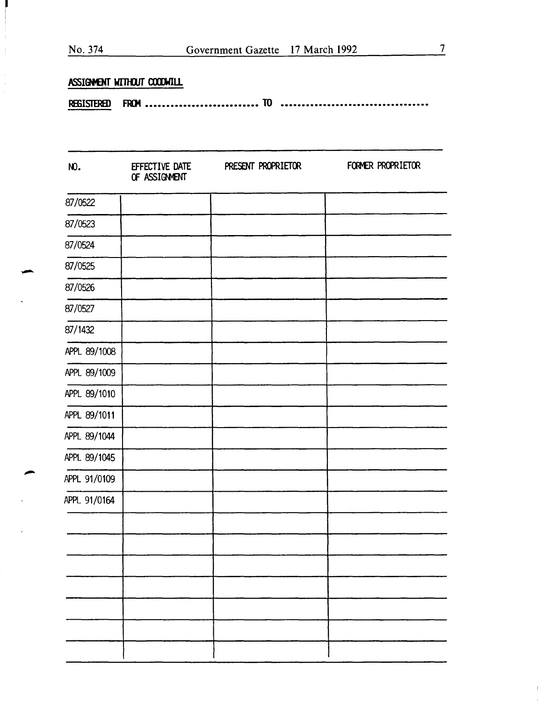|                   | ASSIGMENT WITHOUT COODWILL      |                    |                   |
|-------------------|---------------------------------|--------------------|-------------------|
| <b>REGISTERED</b> |                                 |                    |                   |
|                   |                                 |                    |                   |
| NO.               | EFFECTIVE DATE<br>OF ASSIGNMENT | PRESENT PROPRIETOR | FORMER PROPRIETOR |
| 87/0522           |                                 |                    |                   |
| 87/0523           |                                 |                    |                   |
| 87/0524           |                                 |                    |                   |
| 87/0525           |                                 |                    |                   |
| 87/0526           |                                 |                    |                   |
| 87/0527           |                                 |                    |                   |
| 87/1432           |                                 |                    |                   |
| APPL 89/1008      |                                 |                    |                   |
| APPL 89/1009      |                                 |                    |                   |
| APPL 89/1010      |                                 |                    |                   |
| APPL 89/1011      |                                 |                    |                   |
| APPL 89/1044      |                                 |                    |                   |
| APPL 89/1045      |                                 |                    |                   |
| APPL 91/0109      |                                 |                    |                   |
| APPL 91/0164      |                                 |                    |                   |

-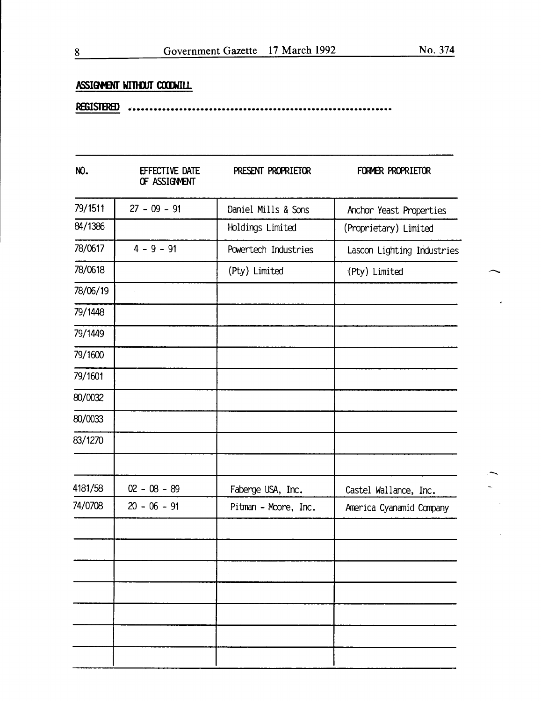-<br>-<br>-

## **ASSIGMENT WITHOUT COODWILL**

**JSISTBI:I)** •'• ••••••••••••••••••••••••••••••••••••••••••••••••••••••••••••

| NO.      | EFFECTIVE DATE<br>OF ASSIGNMENT | PRESENT PROPRIETOR   | FORMER PROPRIETOR          |
|----------|---------------------------------|----------------------|----------------------------|
| 79/1511  | $27 - 09 - 91$                  | Daniel Mills & Sons  | Anchor Yeast Properties    |
| 84/1386  |                                 | Holdings Limited     | (Proprietary) Limited      |
| 78/0617  | $4 - 9 - 91$                    | Powertech Industries | Lascon Lighting Industries |
| 78/0618  |                                 | (Pty) Limited        | (Pty) Limited              |
| 78/06/19 |                                 |                      |                            |
| 79/1448  |                                 |                      |                            |
| 79/1449  |                                 |                      |                            |
| 79/1600  |                                 |                      |                            |
| 79/1601  |                                 |                      |                            |
| 80/0032  |                                 |                      |                            |
| 80/0033  |                                 |                      |                            |
| 83/1270  |                                 |                      |                            |
| 4181/58  | $02 - 08 - 89$                  | Faberge USA, Inc.    | Castel Wallance, Inc.      |
| 74/0708  | $20 - 06 - 91$                  | Pitman - Moore, Inc. | America Cyanamid Company   |
|          |                                 |                      |                            |
|          |                                 |                      |                            |
|          |                                 |                      |                            |
|          |                                 |                      |                            |
|          |                                 |                      |                            |
|          |                                 |                      |                            |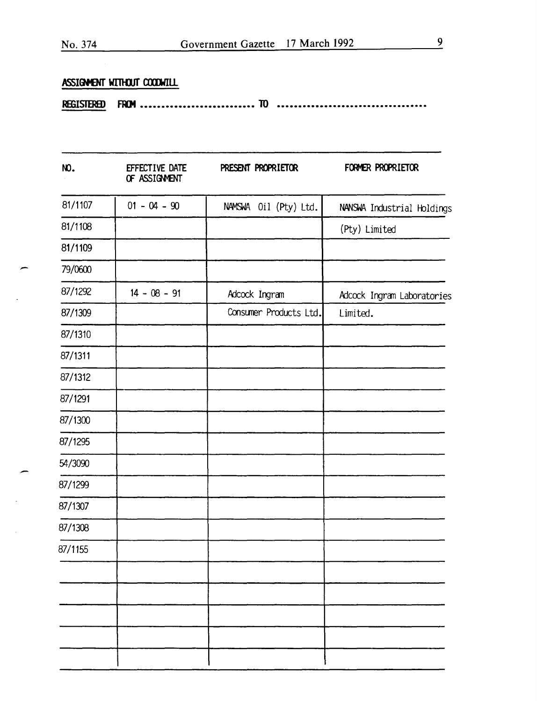## ASSIGMENT WITHOUT COODWILL

| NO.     | EFFECTIVE DATE<br>OF ASSIGNMENT | PRESENT PROPRIETOR     | FORMER PROPRIETOR          |
|---------|---------------------------------|------------------------|----------------------------|
| 81/1107 | $01 - 04 - 90$                  | NAMSWA Oil (Pty) Ltd.  | NANSWA Industrial Holdings |
| 81/1108 |                                 |                        | (Pty) Limited              |
| 81/1109 |                                 |                        |                            |
| 79/0600 |                                 |                        |                            |
| 87/1292 | $14 - 08 - 91$                  | Adcock Ingram          | Adcock Ingram Laboratories |
| 87/1309 |                                 | Consumer Products Ltd. | Limited.                   |
| 87/1310 |                                 |                        |                            |
| 87/1311 |                                 |                        |                            |
| 87/1312 |                                 |                        |                            |
| 87/1291 |                                 |                        |                            |
| 87/1300 |                                 |                        |                            |
| 87/1295 |                                 |                        |                            |
| 54/3090 |                                 |                        |                            |
| 87/1299 |                                 |                        |                            |
| 87/1307 |                                 |                        |                            |
| 87/1308 |                                 |                        |                            |
| 87/1155 |                                 |                        |                            |
|         |                                 |                        |                            |
|         |                                 |                        |                            |
|         |                                 |                        |                            |
|         |                                 |                        |                            |
|         |                                 |                        |                            |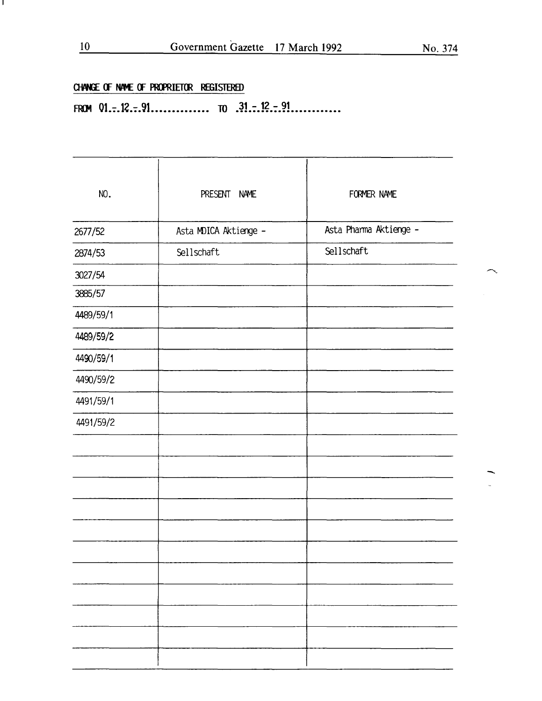$\frown$ 

 $\mathcal{L}$ 

# CHANGE OF NAME OF PROPRIETOR REGISTERED

FROM  $01-.12..91$ ............... TO  $.31-.12..91$ ............

| NO.       | PRESENT<br><b>NAME</b> | FORMER NAME            |
|-----------|------------------------|------------------------|
| 2677/52   | Asta MDICA Aktienge -  | Asta Pharma Aktienge - |
| 2874/53   | Sellschaft             | Sellschaft             |
| 3027/54   |                        |                        |
| 3885/57   |                        |                        |
| 4489/59/1 |                        |                        |
| 4489/59/2 |                        |                        |
|           |                        |                        |
| 4490/59/1 |                        |                        |
| 4490/59/2 |                        |                        |
| 4491/59/1 |                        |                        |
| 4491/59/2 |                        |                        |
|           |                        |                        |
|           |                        |                        |
|           |                        |                        |
|           |                        |                        |
|           |                        |                        |
|           |                        |                        |
|           |                        |                        |
|           |                        |                        |
|           |                        |                        |
|           |                        |                        |
|           |                        |                        |

L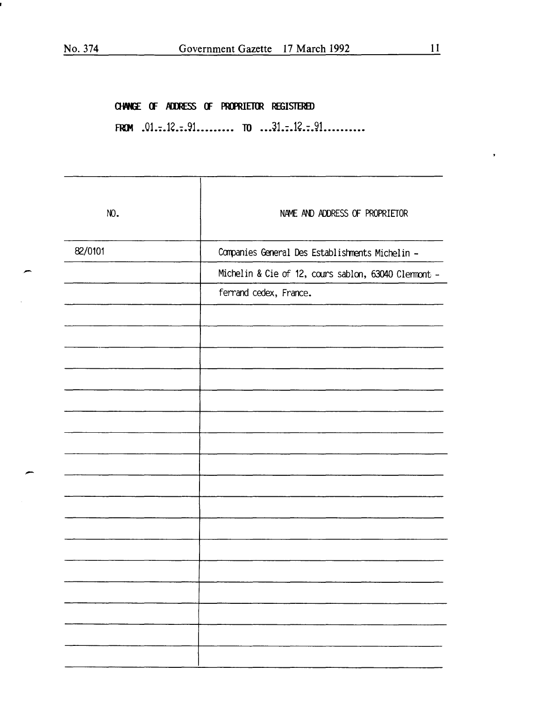¥

FROM .01...12...91.......... TO ...31...12...91..........

CHANGE OF ADDRESS OF PROPRIETOR REGISTERED

| NO.     | NAME AND ADDRESS OF PROPRIETOR                       |
|---------|------------------------------------------------------|
| 82/0101 | Companies General Des Establishments Michelin -      |
|         | Michelin & Cie of 12, cours sablon, 63040 Clemmont - |
|         | ferrand cedex, France.                               |
|         |                                                      |
|         |                                                      |
|         |                                                      |
|         |                                                      |
|         |                                                      |
|         |                                                      |
|         |                                                      |
|         |                                                      |
|         |                                                      |
|         |                                                      |
|         |                                                      |
|         |                                                      |
|         |                                                      |
|         |                                                      |
|         |                                                      |
|         |                                                      |
|         |                                                      |
|         |                                                      |